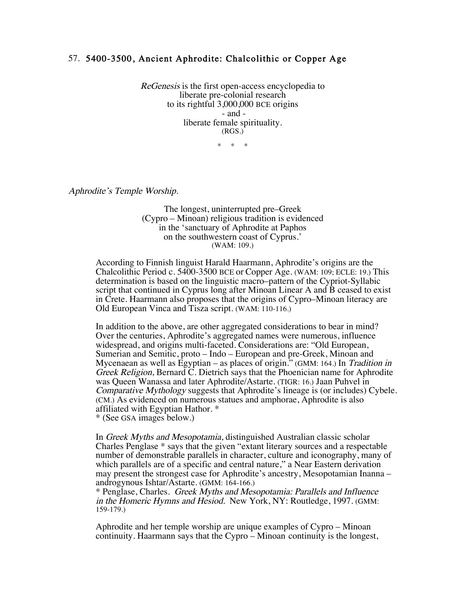## 57. 5400-3500, Ancient Aphrodite: Chalcolithic or Copper Age

ReGenesis is the first open-access encyclopedia to liberate pre-colonial research to its rightful 3,000,000 BCE origins - and liberate female spirituality. (RGS.)

 $\star$ 

Aphrodite's Temple Worship.

The longest, uninterrupted pre–Greek (Cypro – Minoan) religious tradition is evidenced in the 'sanctuary of Aphrodite at Paphos on the southwestern coast of Cyprus.' (WAM: 109.)

According to Finnish linguist Harald Haarmann, Aphrodite's origins are the Chalcolithic Period c. 5400-3500 BCE or Copper Age. (WAM: 109; ECLE: 19.) This determination is based on the linguistic macro–pattern of the Cypriot-Syllabic script that continued in Cyprus long after Minoan Linear A and B ceased to exist in Crete. Haarmann also proposes that the origins of Cypro–Minoan literacy are Old European Vinca and Tisza script. (WAM: 110-116.)

In addition to the above, are other aggregated considerations to bear in mind? Over the centuries, Aphrodite's aggregated names were numerous, influence widespread, and origins multi-faceted. Considerations are: "Old European, Sumerian and Semitic, proto – Indo – European and pre-Greek, Minoan and Mycenaean as well as Egyptian – as places of origin." (GMM: 164.) In Tradition in Greek Religion, Bernard C. Dietrich says that the Phoenician name for Aphrodite was Queen Wanassa and later Aphrodite/Astarte. (TIGR: 16.) Jaan Puhvel in Comparative Mythology suggests that Aphrodite's lineage is (or includes) Cybele. (CM.) As evidenced on numerous statues and amphorae, Aphrodite is also affiliated with Egyptian Hathor. \*

\* (See GSA images below.)

In Greek Myths and Mesopotamia, distinguished Australian classic scholar Charles Penglase \* says that the given "extant literary sources and a respectable number of demonstrable parallels in character, culture and iconography, many of which parallels are of a specific and central nature," a Near Eastern derivation may present the strongest case for Aphrodite's ancestry, Mesopotamian Inanna – androgynous Ishtar/Astarte. (GMM: 164-166.)

\* Penglase, Charles. Greek Myths and Mesopotamia: Parallels and Influence in the Homeric Hymns and Hesiod. New York, NY: Routledge, 1997. (GMM: 159-179.)

Aphrodite and her temple worship are unique examples of Cypro – Minoan continuity. Haarmann says that the Cypro – Minoan continuity is the longest,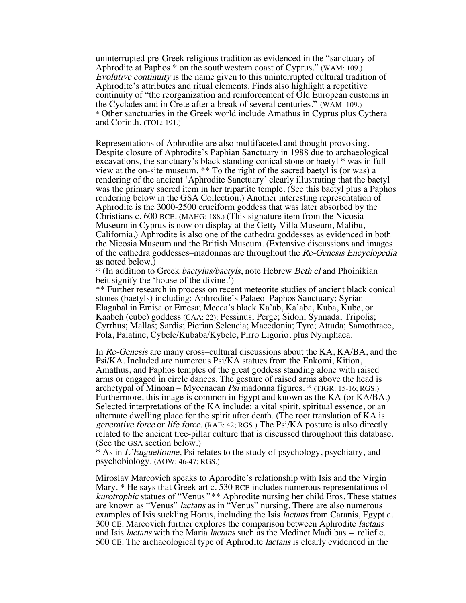uninterrupted pre-Greek religious tradition as evidenced in the "sanctuary of Aphrodite at Paphos \* on the southwestern coast of Cyprus." (WAM: 109.) Evolutive continuity is the name given to this uninterrupted cultural tradition of Aphrodite's attributes and ritual elements. Finds also highlight a repetitive continuity of "the reorganization and reinforcement of Old European customs in the Cyclades and in Crete after a break of several centuries." (WAM: 109.) \* Other sanctuaries in the Greek world include Amathus in Cyprus plus Cythera and Corinth. (TOL: 191.)

Representations of Aphrodite are also multifaceted and thought provoking. Despite closure of Aphrodite's Paphian Sanctuary in 1988 due to archaeological excavations, the sanctuary's black standing conical stone or baetyl \* was in full view at the on-site museum. \*\* To the right of the sacred baetyl is (or was) a rendering of the ancient 'Aphrodite Sanctuary' clearly illustrating that the baetyl was the primary sacred item in her tripartite temple. (See this baetyl plus a Paphos rendering below in the GSA Collection.) Another interesting representation of Aphrodite is the 3000-2500 cruciform goddess that was later absorbed by the Christians c. 600 BCE. (MAHG: 188.) (This signature item from the Nicosia California.) Aphrodite is also one of the cathedra goddesses as evidenced in both the Nicosia Museum and the British Museum. (Extensive discussions and images of the cathedra goddesses–madonnas are throughout the Re-Genesis Encyclopedia as noted below.)

\* (In addition to Greek baetylus/baetyls, note Hebrew Beth el and Phoinikian beit signify the 'house of the divine.')

\*\* Further research in process on recent meteorite studies of ancient black conical stones (baetyls) including: Aphrodite's Palaeo–Paphos Sanctuary; Syrian Elagabal in Emisa or Emesa; Mecca's black Ka'ab, Ka'aba, Kuba, Kube, or Kaabeh (cube) goddess (CAA: 22); Pessinus; Perge; Sidon; Synnada; Tripolis; Cyrrhus; Mallas; Sardis; Pierian Seleucia; Macedonia; Tyre; Attuda; Samothrace, Pola, Palatine, Cybele/Kubaba/Kybele, Pirro Ligorio, plus Nymphaea.

In Re-Genesis are many cross–cultural discussions about the KA, KA/BA, and the Psi/KA. Included are numerous Psi/KA statues from the Enkomi, Kition, Amathus, and Paphos temples of the great goddess standing alone with raised arms or engaged in circle dances. The gesture of raised arms above the head is archetypal of Minoan – Mycenaean Psi madonna figures. \* (TIGR: 15-16; RGS.) Furthermore, this image is common in Egypt and known as the KA (or KA/BA.) Selected interpretations of the KA include: a vital spirit, spiritual essence, or an alternate dwelling place for the spirit after death. (The root translation of KA is generative force or life force. (RAE: 42; RGS.) The Psi/KA posture is also directly related to the ancient tree-pillar culture that is discussed throughout this database. (See the GSA section below.)

\* As in L'Euguelionne, Psi relates to the study of psychology, psychiatry, and psychobiology. (AOW: 46-47; RGS.)

Miroslav Marcovich speaks to Aphrodite's relationship with Isis and the Virgin Mary. \* He says that Greek art c. 530 BCE includes numerous representations of kurotrophic statues of "Venus" \*\* Aphrodite nursing her child Eros. These statues are known as "Venus" lactans as in "Venus" nursing. There are also numerous examples of Isis suckling Horus, including the Isis *lactans* from Caranis, Egypt c. 300 CE. Marcovich further explores the comparison between Aphrodite lactans and Isis *lactans* with the Maria *lactans* such as the Medinet Madi bas – relief c. 500 CE. The archaeological type of Aphrodite lactans is clearly evidenced in the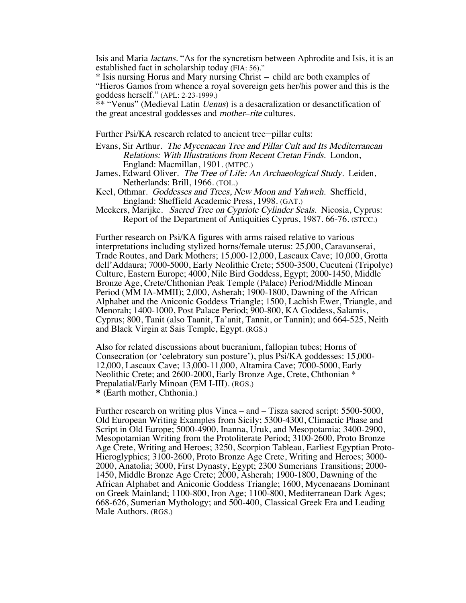Isis and Maria lactans. "As for the syncretism between Aphrodite and Isis, it is an established fact in scholarship today (FIA: 56)."

\* Isis nursing Horus and Mary nursing Christ – child are both examples of "Hieros Gamos from whence a royal sovereign gets her/his power and this is the goddess herself." (APL: 2-23-1999.)

\*\* "Venus" (Medieval Latin Uenus) is a desacralization or desanctification of the great ancestral goddesses and mother–rite cultures.

Further Psi/KA research related to ancient tree-pillar cults:

- Evans, Sir Arthur. The Mycenaean Tree and Pillar Cult and Its Mediterranean Relations: With Illustrations from Recent Cretan Finds. London, England: Macmillan, 1901. (MTPC.)
- James, Edward Oliver. The Tree of Life: An Archaeological Study. Leiden, Netherlands: Brill, 1966. (TOL.)
- Keel, Othmar. Goddesses and Trees, New Moon and Yahweh. Sheffield, England: Sheffield Academic Press, 1998. (GAT.)
- Meekers, Marijke. Sacred Tree on Cypriote Cylinder Seals. Nicosia, Cyprus: Report of the Department of Antiquities Cyprus, 1987. 66-76. (STCC.)

 Further research on Psi/KA figures with arms raised relative to various interpretations including stylized horns/female uterus: 25,000, Caravanserai, Trade Routes, and Dark Mothers; 15,000-12,000, Lascaux Cave; 10,000, Grotta dell'Addaura; 7000-5000, Early Neolithic Crete; 5500-3500, Cucuteni (Tripolye) Culture, Eastern Europe; 4000, Nile Bird Goddess, Egypt; 2000-1450, Middle Bronze Age, Crete/Chthonian Peak Temple (Palace) Period/Middle Minoan Period (MM IA-MMII); 2,000, Asherah; 1900-1800, Dawning of the African Alphabet and the Aniconic Goddess Triangle; 1500, Lachish Ewer, Triangle, and Menorah; 1400-1000, Post Palace Period; 900-800, KA Goddess, Salamis, Cyprus; 800, Tanit (also Taanit, Ta'anit, Tannit, or Tannin); and 664-525, Neith and Black Virgin at Sais Temple, Egypt. (RGS.)

Also for related discussions about bucranium, fallopian tubes; Horns of Consecration (or 'celebratory sun posture'), plus Psi/KA goddesses: 15,000-12,000, Lascaux Cave; 13,000-11,000, Altamira Cave; 7000-5000, Early Neolithic Crete; and 2600-2000, Early Bronze Age, Crete, Chthonian \* Prepalatial/Early Minoan (EM I-III). (RGS.)

\* (Earth mother, Chthonia.)

Further research on writing plus Vinca – and – Tisza sacred script: 5500-5000, Old European Writing Examples from Sicily; 5300-4300, Climactic Phase and Script in Old Europe; 5000-4900, Inanna, Uruk, and Mesopotamia; 3400-2900, Mesopotamian Writing from the Protoliterate Period; 3100-2600, Proto Bronze<br>Age Crete, Writing and Heroes; 3250, Scorpion Tableau, Earliest Egyptian Proto-Hieroglyphics; 3100-2600, Proto Bronze Age Crete, Writing and Heroes; 3000-2000, Anatolia; 3000, First Dynasty, Egypt; 2300 Sumerians Transitions; 2000-1450, Middle Bronze Age Crete; 2000, Asherah; 1900-1800, Dawning of th African Alphabet and Aniconic Goddess Triangle; 1600, Mycenaeans Dominant on Greek Mainland; 1100-800, Iron Age; 1100-800, Mediterranean Dark Ages; 668-626, Sumerian Mythology; and 500-400, Classical Greek Era and Leading Male Authors. (RGS.)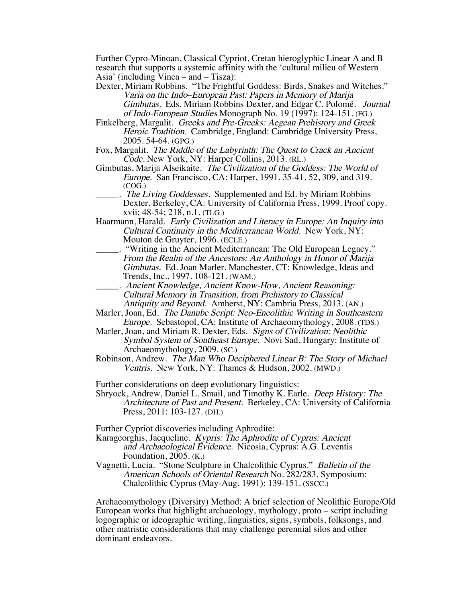Further Cypro-Minoan, Classical Cypriot, Cretan hieroglyphic Linear A and B research that supports a systemic affinity with the 'cultural milieu of Western Asia' (including Vinca – and – Tisza):

- Dexter, Miriam Robbins. "The Frightful Goddess: Birds, Snakes and Witches." Varia on the Indo–European Past: Papers in Memory of Marija Gimbutas. Eds. Miriam Robbins Dexter, and Edgar C. Polomé. Journal of Indo-European Studies Monograph No. 19 (1997): 124-151. (FG.)
- Finkelberg, Margalit. Greeks and Pre-Greeks: Aegean Prehistory and Greek Heroic Tradition. Cambridge, England: Cambridge University Press, 2005. 54-64. (GPG.)
- Fox, Margalit. The Riddle of the Labyrinth: The Quest to Crack an Ancient Code. New York, NY: Harper Collins, 2013. (RL.)
- Gimbutas, Marija Alseikaite. The Civilization of the Goddess: The World of Europe. San Francisco, CA: Harper, 1991. 35-41, 52, 309, and 319. (COG.)
	- . The Living Goddesses. Supplemented and Ed. by Miriam Robbins Dexter. Berkeley, CA: University of California Press, 1999. Proof copy. xvii; 48-54; 218, n.1. (TLG.)
- Haarmann, Harald. Early Civilization and Literacy in Europe: An Inquiry into Cultural Continuity in the Mediterranean World. New York, NY: Mouton de Gruyter, 1996. (ECLE.)
- \_\_\_\_\_. "Writing in the Ancient Mediterranean: The Old European Legacy." From the Realm of the Ancestors: An Anthology in Honor of Marija Gimbutas. Ed. Joan Marler. Manchester, CT: Knowledge, Ideas and Trends, Inc., 1997. 108-121. (WAM.)
	- \_\_\_\_\_. Ancient Knowledge, Ancient Know-How, Ancient Reasoning: Cultural Memory in Transition, from Prehistory to Classical Antiquity and Beyond. Amherst, NY: Cambria Press, 2013. (AN.)
- Marler, Joan, Ed. The Danube Script: Neo-Eneolithic Writing in Southeastern Europe. Sebastopol, CA: Institute of Archaeomythology, 2008. (TDS.)
- Marler, Joan, and Miriam R. Dexter, Eds. Signs of Civilization: Neolithic Symbol System of Southeast Europe. Novi Sad, Hungary: Institute of Archaeomythology, 2009. (SC.)
- Robinson, Andrew. The Man Who Deciphered Linear B: The Story of Michael Ventris. New York, NY: Thames & Hudson, 2002. (MWD.)

Further considerations on deep evolutionary linguistics:

Shryock, Andrew, Daniel L. Smail, and Timothy K. Earle. Deep History: The Architecture of Past and Present. Berkeley, CA: University of California Press, 2011: 103-127. (DH.)

Further Cypriot discoveries including Aphrodite:

- Karageorghis, Jacqueline. Kypris: The Aphrodite of Cyprus: Ancient and Archaeological Evidence. Nicosia, Cyprus: A.G. Leventis Foundation, 2005. (K.)
- Vagnetti, Lucia. "Stone Sculpture in Chalcolithic Cyprus." Bulletin of the American Schools of Oriental Research No. 282/283, Symposium: Chalcolithic Cyprus (May-Aug. 1991): 139-151. (SSCC.)

Archaeomythology (Diversity) Method: A brief selection of Neolithic Europe/Old European works that highlight archaeology, mythology, proto – script including logographic or ideographic writing, linguistics, signs, symbols, folksongs, and other matristic considerations that may challenge perennial silos and other dominant endeavors.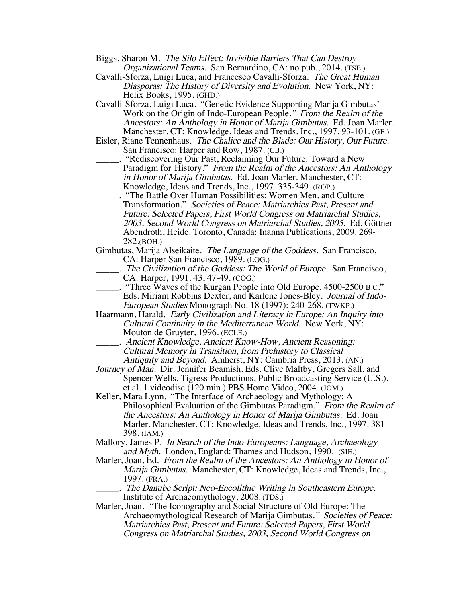- Biggs, Sharon M. The Silo Effect: Invisible Barriers That Can Destroy Organizational Teams. San Bernardino, CA: no pub., 2014. (TSE.)
- Cavalli-Sforza, Luigi Luca, and Francesco Cavalli-Sforza. The Great Human Diasporas: The History of Diversity and Evolution. New York, NY: Helix Books, 1995. (GHD.)
- Cavalli-Sforza, Luigi Luca. "Genetic Evidence Supporting Marija Gimbutas' Work on the Origin of Indo-European People." From the Realm of the Ancestors: An Anthology in Honor of Marija Gimbutas. Ed. Joan Marler. Manchester, CT: Knowledge, Ideas and Trends, Inc., 1997. 93-101. (GE.)
- Eisler, Riane Tennenhaus. The Chalice and the Blade: Our History, Our Future. San Francisco: Harper and Row, 1987. (CB.)

"Rediscovering Our Past, Reclaiming Our Future: Toward a New Paradigm for History." From the Realm of the Ancestors: An Anthology in Honor of Marija Gimbutas. Ed. Joan Marler. Manchester, CT: Knowledge, Ideas and Trends, Inc., 1997. 335-349. (ROP.)

- \_\_\_\_\_. "The Battle Over Human Possibilities: Women Men, and Culture Transformation." Societies of Peace: Matriarchies Past, Present and Future: Selected Papers, First World Congress on Matriarchal Studies, 2003, Second World Congress on Matriarchal Studies, 2005. Ed. Göttner-Abendroth, Heide. Toronto, Canada: Inanna Publications, 2009. 269- 282.(BOH.)
- Gimbutas, Marija Alseikaite. The Language of the Goddess. San Francisco, CA: Harper San Francisco, 1989. (LOG.)
	- \_\_\_\_\_. The Civilization of the Goddess: The World of Europe. San Francisco, CA: Harper, 1991. 43, 47-49. (COG.)
- "Three Waves of the Kurgan People into Old Europe, 4500-2500 B.C." Eds. Miriam Robbins Dexter, and Karlene Jones-Bley. Journal of Indo-European Studies Monograph No. 18 (1997): 240-268. (TWKP.)
- Haarmann, Harald. Early Civilization and Literacy in Europe: An Inquiry into Cultural Continuity in the Mediterranean World. New York, NY: Mouton de Gruyter, 1996. (ECLE.)
	- \_\_\_\_\_. Ancient Knowledge, Ancient Know-How, Ancient Reasoning: Cultural Memory in Transition, from Prehistory to Classical Antiquity and Beyond. Amherst, NY: Cambria Press, 2013. (AN.)
- Journey of Man. Dir. Jennifer Beamish. Eds. Clive Maltby, Gregers Sall, and Spencer Wells. Tigress Productions, Public Broadcasting Service (U.S.), et al. 1 videodisc (120 min.) PBS Home Video, 2004. (JOM.)
- Keller, Mara Lynn. "The Interface of Archaeology and Mythology: A Philosophical Evaluation of the Gimbutas Paradigm." From the Realm of the Ancestors: An Anthology in Honor of Marija Gimbutas. Ed. Joan Marler. Manchester, CT: Knowledge, Ideas and Trends, Inc., 1997. 381- 398. (IAM.)
- Mallory, James P. In Search of the Indo-Europeans: Language, Archaeology and Myth. London, England: Thames and Hudson, 1990. (SIE.)
- Marler, Joan, Ed. From the Realm of the Ancestors: An Anthology in Honor of Marija Gimbutas. Manchester, CT: Knowledge, Ideas and Trends, Inc., 1997. (FRA.)
	- \_\_\_\_\_. The Danube Script: Neo-Eneolithic Writing in Southeastern Europe. Institute of Archaeomythology, 2008. (TDS.)

Marler, Joan. "The Iconography and Social Structure of Old Europe: The Archaeomythological Research of Marija Gimbutas." Societies of Peace: Matriarchies Past, Present and Future: Selected Papers, First World Congress on Matriarchal Studies, 2003, Second World Congress on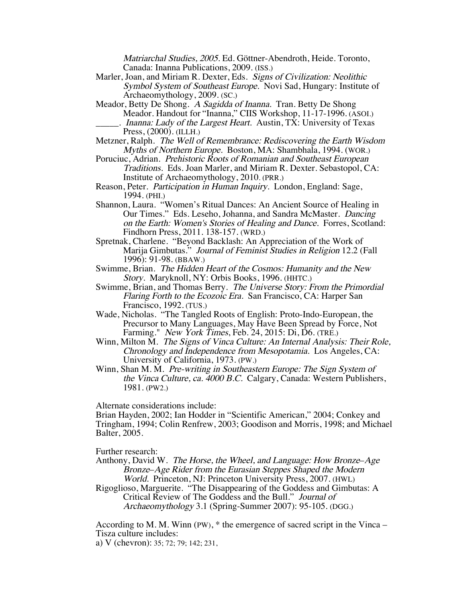Matriarchal Studies, 2005. Ed. Göttner-Abendroth, Heide. Toronto, Canada: Inanna Publications, 2009. (ISS.)

- Marler, Joan, and Miriam R. Dexter, Eds. Signs of Civilization: Neolithic Symbol System of Southeast Europe. Novi Sad, Hungary: Institute of Archaeomythology, 2009. (SC.)
- Meador, Betty De Shong. A Sagidda of Inanna. Tran. Betty De Shong Meador. Handout for "Inanna," CIIS Workshop, 11-17-1996. (ASOI.) . Inanna: Lady of the Largest Heart. Austin, TX: University of Texas Press, (2000). (ILLH.)
- Metzner, Ralph. The Well of Remembrance: Rediscovering the Earth Wisdom Myths of Northern Europe. Boston, MA: Shambhala, 1994. (WOR.)
- Poruciuc, Adrian. Prehistoric Roots of Romanian and Southeast European Traditions. Eds. Joan Marler, and Miriam R. Dexter. Sebastopol, CA: Institute of Archaeomythology, 2010. (PRR.)
- Reason, Peter. Participation in Human Inquiry. London, England: Sage, 1994. (PHI.)
- Shannon, Laura. "Women's Ritual Dances: An Ancient Source of Healing in Our Times." Eds. Leseho, Johanna, and Sandra McMaster. Dancing on the Earth: Women's Stories of Healing and Dance. Forres, Scotland: Findhorn Press, 2011. 138-157. (WRD.)
- Spretnak, Charlene. "Beyond Backlash: An Appreciation of the Work of Marija Gimbutas." Journal of Feminist Studies in Religion 12.2 (Fall 1996): 91-98. (BBAW.)
- Swimme, Brian. The Hidden Heart of the Cosmos: Humanity and the New Story. Maryknoll, NY: Orbis Books, 1996. (HHTC.)
- Swimme, Brian, and Thomas Berry. *The Universe Story: From the Primordial* Flaring Forth to the Ecozoic Era. San Francisco, CA: Harper San Francisco, 1992. (TUS.)
- Wade, Nicholas. "The Tangled Roots of English: Proto-Indo-European, the Precursor to Many Languages, May Have Been Spread by Force, Not Farming." New York Times, Feb. 24, 2015: Di, D6. (TRE.)
- Winn, Milton M. The Signs of Vinca Culture: An Internal Analysis: Their Role, Chronology and Independence from Mesopotamia. Los Angeles, CA: University of California, 1973. (PW.)
- Winn, Shan M. M. Pre-writing in Southeastern Europe: The Sign System of the Vinca Culture, ca. 4000 B.C. Calgary, Canada: Western Publishers, 1981. (PW2.)

Alternate considerations include:

Brian Hayden, 2002; Ian Hodder in "Scientific American," 2004; Conkey and Tringham, 1994; Colin Renfrew, 2003; Goodison and Morris, 1998; and Michael Balter, 2005.

Further research:

- Anthony, David W. The Horse, the Wheel, and Language: How Bronze–Age Bronze–Age Rider from the Eurasian Steppes Shaped the Modern World. Princeton, NJ: Princeton University Press, 2007. (HWL)
- Rigoglioso, Marguerite. "The Disappearing of the Goddess and Gimbutas: A Critical Review of The Goddess and the Bull." Journal of Archaeomythology 3.1 (Spring-Summer 2007): 95-105. (DGG.)

According to M. M. Winn (PW), \* the emergence of sacred script in the Vinca – Tisza culture includes:

a) V (chevron): 35; 72; 79; 142; 231,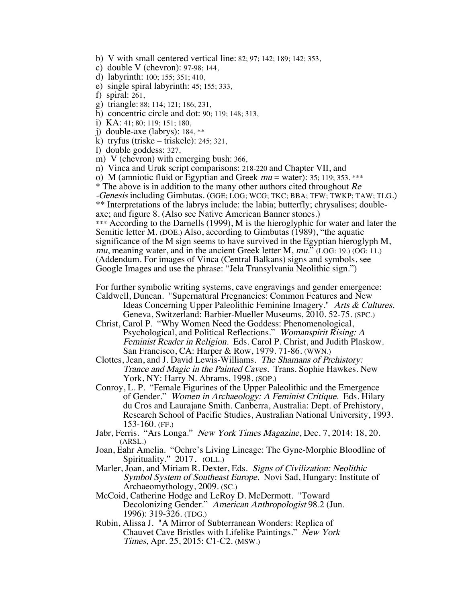- b) V with small centered vertical line: 82; 97; 142; 189; 142; 353,
- c) double V (chevron): 97-98; 144,
- d) labyrinth: 100; 155; 351; 410,
- e) single spiral labyrinth: 45; 155; 333,
- f) spiral: 261,
- g) triangle: 88; 114; 121; 186; 231,
- h) concentric circle and dot: 90; 119; 148; 313,
- i) KA: 41; 80; 119; 151; 180,
- j) double-axe (labrys): 184, \*\*
- k) tryfus (triske triskele): 245; 321,
- l) double goddess: 327,
- m) V (chevron) with emerging bush: 366,
- n) Vinca and Uruk script comparisons: 218-220 and Chapter VII, and
- o) M (amniotic fluid or Egyptian and Greek  $mu =$  water): 35; 119; 353. \*\*\*
- \* The above is in addition to the many other authors cited throughout  $Re$
- -Genesis including Gimbutas. (GGE; LOG; WCG; TKC; BBA; TFW; TWKP; TAW; TLG.)
- \*\* Interpretations of the labrys include: the labia; butterfly; chrysalises; double- axe; and figure 8. (Also see Native American Banner stones.)

\*\*\* According to the Darnells (1999), M is the hieroglyphic for water and later the Semitic letter M. (DOE.) Also, according to Gimbutas (1989), "the aquatic significance of the M sign seems to have survived in the Egyptian hieroglyph M, mu, meaning water, and in the ancient Greek letter M, mu." (LOG: 19.) (OG: 11.) (Addendum. For images of Vinca (Central Balkans) signs and symbols, see Google Images and use the phrase: "Jela Transylvania Neolithic sign.")

For further symbolic writing systems, cave engravings and gender emergence: Caldwell, Duncan. "Supernatural Pregnancies: Common Features and New

Ideas Concerning Upper Paleolithic Feminine Imagery." Arts & Cultures. Geneva, Switzerland: Barbier-Mueller Museums, 2010. 52-75. (SPC.)

- Christ, Carol P. "Why Women Need the Goddess: Phenomenological, Psychological, and Political Reflections." Womanspirit Rising: A Feminist Reader in Religion. Eds. Carol P. Christ, and Judith Plaskow. San Francisco, CA: Harper & Row, 1979. 71-86. (WWN.)
- Clottes, Jean, and J. David Lewis-Williams. The Shamans of Prehistory: Trance and Magic in the Painted Caves. Trans. Sophie Hawkes. New York, NY: Harry N. Abrams, 1998. (SOP.)
- Conroy, L. P. "Female Figurines of the Upper Paleolithic and the Emergence of Gender." Women in Archaeology: A Feminist Critique. Eds. Hilary du Cros and Laurajane Smith. Canberra, Australia: Dept. of Prehistory, Research School of Pacific Studies, Australian National University, 1993. 153-160. (FF.)
- Jabr, Ferris. "Ars Longa." New York Times Magazine, Dec. 7, 2014: 18, 20. (ARSL.)
- Joan, Eahr Amelia. "Ochre's Living Lineage: The Gyne-Morphic Bloodline of Spirituality." 2017. (OLL.)
- Marler, Joan, and Miriam R. Dexter, Eds. Signs of Civilization: Neolithic Symbol System of Southeast Europe. Novi Sad, Hungary: Institute of Archaeomythology, 2009. (SC.)
- McCoid, Catherine Hodge and LeRoy D. McDermott. "Toward Decolonizing Gender." American Anthropologist 98.2 (Jun. 1996): 319-326. (TDG.)
- Rubin, Alissa J. "A Mirror of Subterranean Wonders: Replica of Chauvet Cave Bristles with Lifelike Paintings." New York Times, Apr. 25, 2015: C1-C2. (MSW.)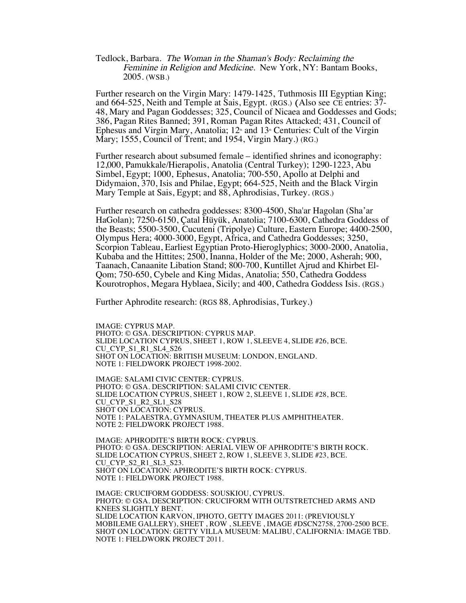Tedlock, Barbara. The Woman in the Shaman's Body: Reclaiming the Feminine in Religion and Medicine. New York, NY: Bantam Books, 2005. (WSB.)

Further research on the Virgin Mary: 1479-1425, Tuthmosis III Egyptian King; and 664-525, Neith and Temple at Sais, Egypt. (RGS.) (Also see CE entries: 37- 48, Mary and Pagan Goddesses; 325, Council of Nicaea and Goddesses and Gods; 386, Pagan Rites Banned; 391, Roman Pagan Rites Attacked; 431, Council of Ephesus and Virgin Mary, Anatolia;  $12^{\omega}$  and  $13^{\omega}$  Centuries: Cult of the Virgin Mary; 1555, Council of Trent; and 1954, Virgin Mary.) (RG.)

Further research about subsumed female – identified shrines and iconography: 12,000, Pamukkale/Hierapolis, Anatolia (Central Turkey); 1290-1223, Abu Simbel, Egypt; 1000, Ephesus, Anatolia; 700-550, Apollo at Delphi and Didymaion, 370, Isis and Philae, Egypt; 664-525, Neith and the Black Virgin Mary Temple at Sais, Egypt; and 88, Aphrodisias, Turkey. (RGS.)

Further research on cathedra goddesses: 8300-4500, Sha'ar Hagolan (Sha'ar HaGolan); 7250-6150, Çatal Hüyük, Anatolia; 7100-6300, Cathedra Goddess of the Beasts; 5500-3500, Cucuteni (Tripolye) Culture, Eastern Europe; 4400-2500, Olympus Hera; 4000-3000, Egypt, Africa, and Cathedra Goddesses; 3250, Scorpion Tableau, Earliest Egyptian Proto-Hieroglyphics; 3000-2000, Anatolia, Kubaba and the Hittites; 2500, Inanna, Holder of the Me; 2000, Asherah; 900, Taanach, Canaanite Libation Stand; 800-700, Kuntillet Ajrud and Khirbet El-Qom; 750-650, Cybele and King Midas, Anatolia; 550, Cathedra Goddess Kourotrophos, Megara Hyblaea, Sicily; and 400, Cathedra Goddess Isis. (RGS.)

Further Aphrodite research: (RGS 88, Aphrodisias, Turkey.)

IMAGE: CYPRUS MAP. PHOTO: © GSA. DESCRIPTION: CYPRUS MAP. SLIDE LOCATION CYPRUS, SHEET 1, ROW 1, SLEEVE 4, SLIDE #26, BCE. CU CYP S1 R1 SL4 S26 SHOT ON LOCATION: BRITISH MUSEUM: LONDON, ENGLAND. NOTE 1: FIELDWORK PROJECT 1998-2002.

IMAGE: SALAMI CIVIC CENTER: CYPRUS. PHOTO: © GSA. DESCRIPTION: SALAMI CIVIC CENTER. SLIDE LOCATION CYPRUS, SHEET 1, ROW 2, SLEEVE 1, SLIDE #28, BCE. CU\_CYP\_S1\_R2\_SL1\_S28 SHOT ON LOCATION: CYPRUS. NOTE 1: PALAESTRA, GYMNASIUM, THEATER PLUS AMPHITHEATER. NOTE 2: FIELDWORK PROJECT 1988.

IMAGE: APHRODITE'S BIRTH ROCK: CYPRUS. PHOTO: © GSA. DESCRIPTION: AERIAL VIEW OF APHRODITE'S BIRTH ROCK. SLIDE LOCATION CYPRUS, SHEET 2, ROW 1, SLEEVE 3, SLIDE #23, BCE. CU\_CYP\_S2\_R1\_SL3\_S23. SHOT ON LOCATION: APHRODITE'S BIRTH ROCK: CYPRUS. NOTE 1: FIELDWORK PROJECT 1988.

IMAGE: CRUCIFORM GODDESS: SOUSKIOU, CYPRUS. PHOTO: © GSA. DESCRIPTION: CRUCIFORM WITH OUTSTRETCHED ARMS AND KNEES SLIGHTLY BENT. SLIDE LOCATION KARVON, IPHOTO, GETTY IMAGES 2011: (PREVIOUSLY MOBILEME GALLERY), SHEET , ROW , SLEEVE , IMAGE #DSCN2758, 2700-2500 BCE. SHOT ON LOCATION: GETTY VILLA MUSEUM: MALIBU, CALIFORNIA: IMAGE TBD. NOTE 1: FIELDWORK PROJECT 2011.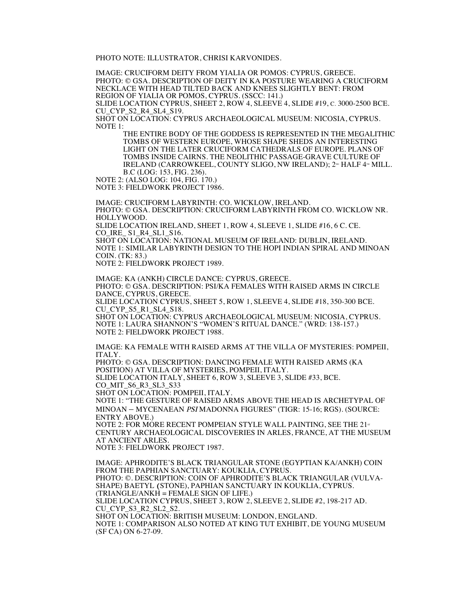PHOTO NOTE: ILLUSTRATOR, CHRISI KARVONIDES.

IMAGE: CRUCIFORM DEITY FROM YIALIA OR POMOS: CYPRUS, GREECE. PHOTO: © GSA. DESCRIPTION OF DEITY IN KA POSTURE WEARING A CRUCIFORM NECKLACE WITH HEAD TILTED BACK AND KNEES SLIGHTLY BENT: FROM REGION OF YIALIA OR POMOS, CYPRUS. (SSCC: 141.)

SLIDE LOCATION CYPRUS, SHEET 2, ROW 4, SLEEVE 4, SLIDE #19, C. 3000-2500 BCE. CU CYP S2 R4 SL4 S19.

SHOT ON LOCATION: CYPRUS ARCHAEOLOGICAL MUSEUM: NICOSIA, CYPRUS. NOTE 1:

THE ENTIRE BODY OF THE GODDESS IS REPRESENTED IN THE MEGALITHIC TOMBS OF WESTERN EUROPE, WHOSE SHAPE SHEDS AN INTERESTING LIGHT ON THE LATER CRUCIFORM CATHEDRALS OF EUROPE. PLANS OF TOMBS INSIDE CAIRNS. THE NEOLITHIC PASSAGE-GRAVE CULTURE OF IRELAND (CARROWKEEL, COUNTY SLIGO, NW IRELAND); 2<sup>nd</sup> HALF 4<sup>th</sup> MILL. B.C (LOG: 153, FIG. 236).

NOTE 2: (ALSO LOG: 104, FIG. 170.)

NOTE 3: FIELDWORK PROJECT 1986.

IMAGE: CRUCIFORM LABYRINTH: CO. WICKLOW, IRELAND. PHOTO: © GSA. DESCRIPTION: CRUCIFORM LABYRINTH FROM CO. WICKLOW NR. HOLLYWOOD. SLIDE LOCATION IRELAND, SHEET 1, ROW 4, SLEEVE 1, SLIDE #16, 6 C. CE. CO IRE S1 R4 SL1 S16.

SHOT ON LOCATION: NATIONAL MUSEUM OF IRELAND: DUBLIN, IRELAND. NOTE 1: SIMILAR LABYRINTH DESIGN TO THE HOPI INDIAN SPIRAL AND MINOAN COIN. (TK: 83.)

NOTE 2: FIELDWORK PROJECT 1989.

IMAGE: KA (ANKH) CIRCLE DANCE: CYPRUS, GREECE. PHOTO: © GSA. DESCRIPTION: PSI/KA FEMALES WITH RAISED ARMS IN CIRCLE DANCE, CYPRUS, GREECE. SLIDE LOCATION CYPRUS, SHEET 5, ROW 1, SLEEVE 4, SLIDE #18, 350-300 BCE. CU CYP S5 R1 SL4 S18. SHOT ON LOCATION: CYPRUS ARCHAEOLOGICAL MUSEUM: NICOSIA, CYPRUS. NOTE 1: LAURA SHANNON'S "WOMEN'S RITUAL DANCE." (WRD: 138-157.)

NOTE 2: FIELDWORK PROJECT 1988.

IMAGE: KA FEMALE WITH RAISED ARMS AT THE VILLA OF MYSTERIES: POMPEII, ITALY.

PHOTO: © GSA. DESCRIPTION: DANCING FEMALE WITH RAISED ARMS (KA POSITION) AT VILLA OF MYSTERIES, POMPEII, ITALY.

SLIDE LOCATION ITALY, SHEET 6, ROW 3, SLEEVE 3, SLIDE #33, BCE. CO\_MIT\_S6\_R3\_SL3\_S33

SHOT ON LOCATION: POMPEII, ITALY.

NOTE 1: "THE GESTURE OF RAISED ARMS ABOVE THE HEAD IS ARCHETYPAL OF MINOAN – MYCENAEAN PSI MADONNA FIGURES" (TIGR: 15-16; RGS). (SOURCE: ENTRY ABOVE.)

NOTE 2: FOR MORE RECENT POMPEIAN STYLE WALL PAINTING, SEE THE  $21<sup>st</sup>$ CENTURY ARCHAEOLOGICAL DISCOVERIES IN ARLES, FRANCE, AT THE MUSEUM AT ANCIENT ARLES.

NOTE 3: FIELDWORK PROJECT 1987.

IMAGE: APHRODITE'S BLACK TRIANGULAR STONE (EGYPTIAN KA/ANKH) COIN FROM THE PAPHIAN SANCTUARY: KOUKLIA, CYPRUS. PHOTO: ©. DESCRIPTION: COIN OF APHRODITE'S BLACK TRIANGULAR (VULVA-SHAPE) BAETYL (STONE), PAPHIAN SANCTUARY IN KOUKLIA, CYPRUS. (TRIANGLE/ANKH = FEMALE SIGN OF LIFE.) SLIDE LOCATION CYPRUS, SHEET 3, ROW 2, SLEEVE 2, SLIDE #2, 198-217 AD. CU\_CYP\_S3\_R2\_SL2\_S2. SHOT ON LOCATION: BRITISH MUSEUM: LONDON, ENGLAND. NOTE 1: COMPARISON ALSO NOTED AT KING TUT EXHIBIT, DE YOUNG MUSEUM (SF CA) ON 6-27-09.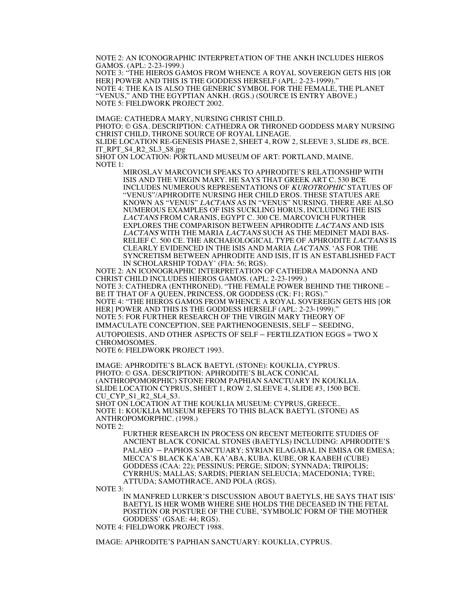NOTE 2: AN ICONOGRAPHIC INTERPRETATION OF THE ANKH INCLUDES HIEROS GAMOS. (APL: 2-23-1999.)

NOTE 3: "THE HIEROS GAMOS FROM WHENCE A ROYAL SOVEREIGN GETS HIS [OR HER] POWER AND THIS IS THE GODDESS HERSELF (APL: 2-23-1999)." NOTE 4: THE KA IS ALSO THE GENERIC SYMBOL FOR THE FEMALE, THE PLANET "VENUS," AND THE EGYPTIAN ANKH. (RGS.) (SOURCE IS ENTRY ABOVE.) NOTE 5: FIELDWORK PROJECT 2002.

IMAGE: CATHEDRA MARY, NURSING CHRIST CHILD.

PHOTO: © GSA. DESCRIPTION: CATHEDRA OR THRONED GODDESS MARY NURSING CHRIST CHILD, THRONE SOURCE OF ROYAL LINEAGE.

SLIDE LOCATION RE-GENESIS PHASE 2, SHEET 4, ROW 2, SLEEVE 3, SLIDE #8, BCE. IT\_RPT\_S4\_R2\_SL3\_S8.jpg

SHOT ON LOCATION: PORTLAND MUSEUM OF ART: PORTLAND, MAINE. NOTE 1:

> MIROSLAV MARCOVICH SPEAKS TO APHRODITE'S RELATIONSHIP WITH ISIS AND THE VIRGIN MARY. HE SAYS THAT GREEK ART C. 530 BCE INCLUDES NUMEROUS REPRESENTATIONS OF KUROTROPHIC STATUES OF "VENUS"/APHRODITE NURSING HER CHILD EROS. THESE STATUES ARE KNOWN AS "VENUS" LACTANS AS IN "VENUS" NURSING. THERE ARE ALSO NUMEROUS EXAMPLES OF ISIS SUCKLING HORUS, INCLUDING THE ISIS LACTANS FROM CARANIS, EGYPT C. 300 CE. MARCOVICH FURTHER EXPLORES THE COMPARISON BETWEEN APHRODITE LACTANS AND ISIS LACTANS WITH THE MARIA LACTANS SUCH AS THE MEDINET MADI BAS-RELIEF C. 500 CE. THE ARCHAEOLOGICAL TYPE OF APHRODITE LACTANS IS CLEARLY EVIDENCED IN THE ISIS AND MARIA LACTANS. 'AS FOR THE SYNCRETISM BETWEEN APHRODITE AND ISIS, IT IS AN ESTABLISHED FACT IN SCHOLARSHIP TODAY' (FIA: 56; RGS).

NOTE 2: AN ICONOGRAPHIC INTERPRETATION OF CATHEDRA MADONNA AND CHRIST CHILD INCLUDES HIEROS GAMOS. (APL: 2-23-1999.) NOTE 3: CATHEDRA (ENTHRONED). "THE FEMALE POWER BEHIND THE THRONE – BE IT THAT OF A QUEEN, PRINCESS, OR GODDESS (CK: F1; RGS). NOTE 4: "THE HIEROS GAMOS FROM WHENCE A ROYAL SOVEREIGN GETS HIS [OR HER] POWER AND THIS IS THE GODDESS HERSELF (APL: 2-23-1999)." NOTE 5: FOR FURTHER RESEARCH OF THE VIRGIN MARY THEORY OF IMMACULATE CONCEPTION, SEE PARTHENOGENESIS, SELF – SEEDING, AUTOPOIESIS, AND OTHER ASPECTS OF SELF – FERTILIZATION EGGS = TWO X CHROMOSOMES.

NOTE 6: FIELDWORK PROJECT 1993.

IMAGE: APHRODITE'S BLACK BAETYL (STONE): KOUKLIA, CYPRUS. PHOTO: © GSA. DESCRIPTION: APHRODITE'S BLACK CONICAL (ANTHROPOMORPHIC) STONE FROM PAPHIAN SANCTUARY IN KOUKLIA. SLIDE LOCATION CYPRUS, SHEET 1, ROW 2, SLEEVE 4, SLIDE #3, 1500 BCE. CU\_CYP\_S1\_R2\_SL4\_S3. SHOT ON LOCATION AT THE KOUKLIA MUSEUM: CYPRUS, GREECE..

NOTE 1: KOUKLIA MUSEUM REFERS TO THIS BLACK BAETYL (STONE) AS ANTHROPOMORPHIC. (1998.)

NOTE 2:

FURTHER RESEARCH IN PROCESS ON RECENT METEORITE STUDIES OF ANCIENT BLACK CONICAL STONES (BAETYLS) INCLUDING: APHRODITE'S PALAEO – PAPHOS SANCTUARY; SYRIAN ELAGABAL IN EMISA OR EMESA; MECCA'S BLACK KA'AB, KA'ABA, KUBA, KUBE, OR KAABEH (CUBE) GODDESS (CAA: 22); PESSINUS; PERGE; SIDON; SYNNADA; TRIPOLIS; CYRRHUS; MALLAS; SARDIS; PIERIAN SELEUCIA; MACEDONIA; TYRE; ATTUDA; SAMOTHRACE, AND POLA (RGS).

NOTE 3:

IN MANFRED LURKER'S DISCUSSION ABOUT BAETYLS, HE SAYS THAT ISIS' BAETYL IS HER WOMB WHERE SHE HOLDS THE DECEASED IN THE FETAL POSITION OR POSTURE OF THE CUBE, 'SYMBOLIC FORM OF THE MOTHER GODDESS' (GSAE: 44; RGS).

NOTE 4: FIELDWORK PROJECT 1988.

IMAGE: APHRODITE'S PAPHIAN SANCTUARY: KOUKLIA, CYPRUS.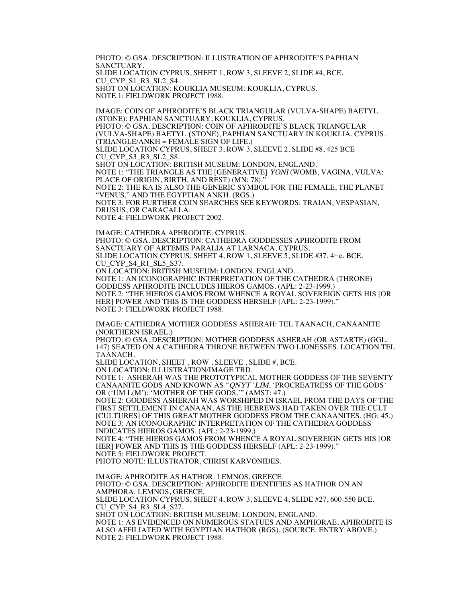PHOTO: © GSA. DESCRIPTION: ILLUSTRATION OF APHRODITE'S PAPHIAN SANCTUARY. SLIDE LOCATION CYPRUS, SHEET 1, ROW 3, SLEEVE 2, SLIDE #4, BCE. CU\_CYP\_S1\_R3\_SL2\_S4. SHOT ON LOCATION: KOUKLIA MUSEUM: KOUKLIA, CYPRUS. NOTE 1: FIELDWORK PROJECT 1988.

IMAGE: COIN OF APHRODITE'S BLACK TRIANGULAR (VULVA-SHAPE) BAETYL (STONE): PAPHIAN SANCTUARY, KOUKLIA, CYPRUS. PHOTO: © GSA. DESCRIPTION: COIN OF APHRODITE'S BLACK TRIANGULAR (VULVA-SHAPE) BAETYL (STONE), PAPHIAN SANCTUARY IN KOUKLIA, CYPRUS. (TRIANGLE/ANKH = FEMALE SIGN OF LIFE.) SLIDE LOCATION CYPRUS, SHEET 3, ROW 3, SLEEVE 2, SLIDE #8, 425 BCE CU\_CYP\_S3\_R3\_SL2\_S8. SHOT ON LOCATION: BRITISH MUSEUM: LONDON, ENGLAND. NOTE 1: "THE TRIANGLE AS THE [GENERATIVE] YONI (WOMB, VAGINA, VULVA; PLACE OF ORIGIN, BIRTH, AND REST) (MN: 78). NOTE 2: THE KA IS ALSO THE GENERIC SYMBOL FOR THE FEMALE, THE PLANET "VENUS," AND THE EGYPTIAN ANKH. (RGS.) NOTE 3: FOR FURTHER COIN SEARCHES SEE KEYWORDS: TRAIAN, VESPASIAN, DRUSUS, OR CARACALLA. NOTE 4: FIELDWORK PROJECT 2002.

IMAGE: CATHEDRA APHRODITE: CYPRUS. PHOTO: © GSA. DESCRIPTION: CATHEDRA GODDESSES APHRODITE FROM SANCTUARY OF ARTEMIS PARALIA AT LARNACA, CYPRUS. SLIDE LOCATION CYPRUS, SHEET 4, ROW 1, SLEEVE 5, SLIDE #37, 4<sup>TH</sup> c. BCE. CU CYP\_S4\_R1\_SL5\_S37. ON LOCATION: BRITISH MUSEUM: LONDON, ENGLAND. NOTE 1: AN ICONOGRAPHIC INTERPRETATION OF THE CATHEDRA (THRONE) GODDESS APHRODITE INCLUDES HIEROS GAMOS. (APL: 2-23-1999.) NOTE 2: "THE HIEROS GAMOS FROM WHENCE A ROYAL SOVEREIGN GETS HIS [OR HER] POWER AND THIS IS THE GODDESS HERSELF (APL: 2-23-1999).' NOTE 3: FIELDWORK PROJECT 1988.

IMAGE: CATHEDRA MOTHER GODDESS ASHERAH: TEL TAANACH, CANAANITE (NORTHERN ISRAEL.)

PHOTO: © GSA. DESCRIPTION: MOTHER GODDESS ASHERAH (OR ASTARTE) (GGL: 147) SEATED ON A CATHEDRA THRONE BETWEEN TWO LIONESSES. LOCATION TEL TAANACH.

SLIDE LOCATION, SHEET , ROW , SLEEVE , SLIDE #, BCE. ON LOCATION: ILLUSTRATION/IMAGE TBD.

 NOTE 1: ASHERAH WAS THE PROTOTYPICAL MOTHER GODDESS OF THE SEVENTY CANAANITE GODS AND KNOWN AS "QNYT 'LIM, 'PROCREATRESS OF THE GODS' OR ('UM L(M'): 'MOTHER OF THE GODS.'" (AMST: 47.)

 NOTE 2: GODDESS ASHERAH WAS WORSHIPED IN ISRAEL FROM THE DAYS OF THE FIRST SETTLEMENT IN CANAAN, AS THE HEBREWS HAD TAKEN OVER THE CULT [CULTURES] OF THIS GREAT MOTHER GODDESS FROM THE CANAANITES. (HG: 45.) NOTE 3: AN ICONOGRAPHIC INTERPRETATION OF THE CATHEDRA GODDESS INDICATES HIEROS GAMOS. (APL: 2-23-1999.)

NOTE 4: "THE HIEROS GAMOS FROM WHENCE A ROYAL SOVEREIGN GETS HIS [OR HER] POWER AND THIS IS THE GODDESS HERSELF (APL: 2-23-1999)." NOTE 5: FIELDWORK PROJECT. PHOTO NOTE: ILLUSTRATOR, CHRISI KARVONIDES.

IMAGE: APHRODITE AS HATHOR: LEMNOS, GREECE. PHOTO: © GSA. DESCRIPTION: APHRODITE IDENTIFIES AS HATHOR ON AN AMPHORA: LEMNOS, GREECE. SLIDE LOCATION CYPRUS, SHEET 4, ROW 3, SLEEVE 4, SLIDE #27, 600-550 BCE. CU\_CYP\_S4\_R3\_SL4\_S27. SHOT ON LOCATION: BRITISH MUSEUM: LONDON, ENGLAND. NOTE 1: AS EVIDENCED ON NUMEROUS STATUES AND AMPHORAE, APHRODITE IS ALSO AFFILIATED WITH EGYPTIAN HATHOR (RGS). (SOURCE: ENTRY ABOVE.) NOTE 2: FIELDWORK PROJECT 1988.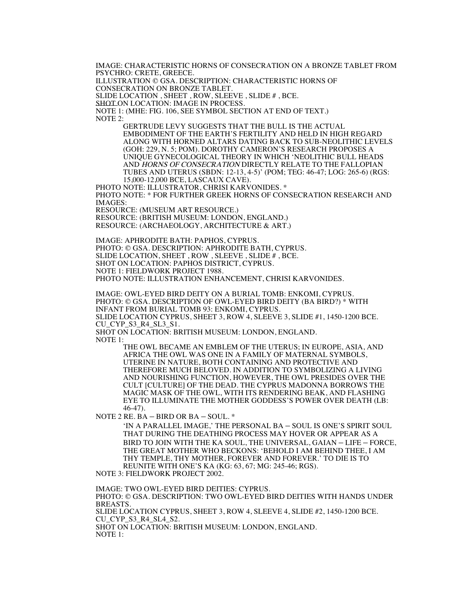IMAGE: CHARACTERISTIC HORNS OF CONSECRATION ON A BRONZE TABLET FROM PSYCHRO: CRETE, GREECE.

ILLUSTRATION © GSA. DESCRIPTION: CHARACTERISTIC HORNS OF

CONSECRATION ON BRONZE TABLET.

SLIDE LOCATION , SHEET , ROW, SLEEVE , SLIDE # , BCE.

SHOT ON LOCATION: IMAGE IN PROCESS.

NOTE 1: (MHE: FIG. 106, SEE SYMBOL SECTION AT END OF TEXT.) NOTE 2:

> GERTRUDE LEVY SUGGESTS THAT THE BULL IS THE ACTUAL EMBODIMENT OF THE EARTH'S FERTILITY AND HELD IN HIGH REGARD ALONG WITH HORNED ALTARS DATING BACK TO SUB-NEOLITHIC LEVELS (GOH: 229, N. 5; POM). DOROTHY CAMERON'S RESEARCH PROPOSES A UNIQUE GYNECOLOGICAL THEORY IN WHICH 'NEOLITHIC BULL HEADS AND HORNS OF CONSECRATION DIRECTLY RELATE TO THE FALLOPIAN TUBES AND UTERUS (SBDN: 12-13, 4-5)' (POM; TEG: 46-47; LOG: 265-6) (RGS: 15,000-12,000 BCE, LASCAUX CAVE).

PHOTO NOTE: ILLUSTRATOR, CHRISI KARVONIDES. \* PHOTO NOTE: \* FOR FURTHER GREEK HORNS OF CONSECRATION RESEARCH AND IMAGES:

RESOURCE: (MUSEUM ART RESOURCE.)

RESOURCE: (BRITISH MUSEUM: LONDON, ENGLAND.) RESOURCE: (ARCHAEOLOGY, ARCHITECTURE & ART.)

IMAGE: APHRODITE BATH: PAPHOS, CYPRUS. PHOTO: © GSA. DESCRIPTION: APHRODITE BATH, CYPRUS. SLIDE LOCATION, SHEET , ROW , SLEEVE , SLIDE # , BCE. SHOT ON LOCATION: PAPHOS DISTRICT, CYPRUS. NOTE 1: FIELDWORK PROJECT 1988. PHOTO NOTE: ILLUSTRATION ENHANCEMENT, CHRISI KARVONIDES.

IMAGE: OWL-EYED BIRD DEITY ON A BURIAL TOMB: ENKOMI, CYPRUS. PHOTO: © GSA. DESCRIPTION OF OWL-EYED BIRD DEITY (BA BIRD?) \* WITH INFANT FROM BURIAL TOMB 93: ENKOMI, CYPRUS. SLIDE LOCATION CYPRUS, SHEET 3, ROW 4, SLEEVE 3, SLIDE #1, 1450-1200 BCE. CU CYP S3\_R4\_SL3\_S1. SHOT ON LOCATION: BRITISH MUSEUM: LONDON, ENGLAND.

NOTE 1:

THE OWL BECAME AN EMBLEM OF THE UTERUS; IN EUROPE, ASIA, AND AFRICA THE OWL WAS ONE IN A FAMILY OF MATERNAL SYMBOLS, UTERINE IN NATURE, BOTH CONTAINING AND PROTECTIVE AND THEREFORE MUCH BELOVED. IN ADDITION TO SYMBOLIZING A LIVING AND NOURISHING FUNCTION, HOWEVER, THE OWL PRESIDES OVER THE CULT [CULTURE] OF THE DEAD. THE CYPRUS MADONNA BORROWS THE MAGIC MASK OF THE OWL, WITH ITS RENDERING BEAK, AND FLASHING EYE TO ILLUMINATE THE MOTHER GODDESS'S POWER OVER DEATH (LB: 46-47).

NOTE 2 RE. BA – BIRD OR BA – SOUL. \*

'IN A PARALLEL IMAGE,' THE PERSONAL BA – SOUL IS ONE'S SPIRIT SOUL THAT DURING THE DEATHING PROCESS MAY HOVER OR APPEAR AS A BIRD TO JOIN WITH THE KA SOUL, THE UNIVERSAL, GAIAN – LIFE – FORCE, THE GREAT MOTHER WHO BECKONS: 'BEHOLD I AM BEHIND THEE, I AM THY TEMPLE, THY MOTHER, FOREVER AND FOREVER.' TO DIE IS TO REUNITE WITH ONE'S KA (KG: 63, 67; MG: 245-46; RGS).

NOTE 3: FIELDWORK PROJECT 2002.

IMAGE: TWO OWL-EYED BIRD DEITIES: CYPRUS. PHOTO: © GSA. DESCRIPTION: TWO OWL-EYED BIRD DEITIES WITH HANDS UNDER BREASTS. SLIDE LOCATION CYPRUS, SHEET 3, ROW 4, SLEEVE 4, SLIDE #2, 1450-1200 BCE. CU\_CYP\_S3\_R4\_SL4\_S2. SHOT ON LOCATION: BRITISH MUSEUM: LONDON, ENGLAND. NOTE 1: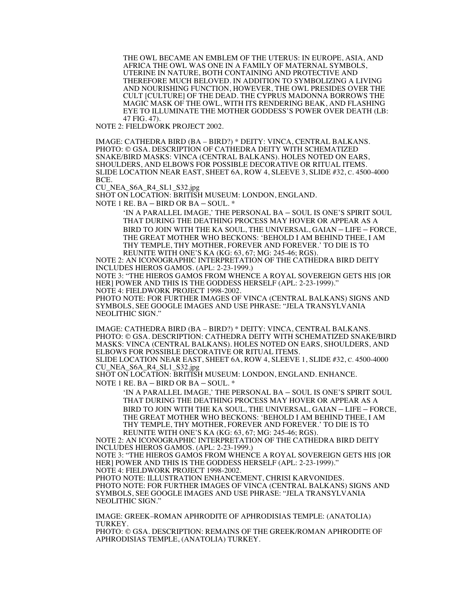THE OWL BECAME AN EMBLEM OF THE UTERUS: IN EUROPE, ASIA, AND AFRICA THE OWL WAS ONE IN A FAMILY OF MATERNAL SYMBOLS, UTERINE IN NATURE, BOTH CONTAINING AND PROTECTIVE AND THEREFORE MUCH BELOVED. IN ADDITION TO SYMBOLIZING A LIVING AND NOURISHING FUNCTION, HOWEVER, THE OWL PRESIDES OVER THE CULT [CULTURE] OF THE DEAD. THE CYPRUS MADONNA BORROWS THE MAGIC MASK OF THE OWL, WITH ITS RENDERING BEAK, AND FLASHING EYE TO ILLUMINATE THE MOTHER GODDESS'S POWER OVER DEATH (LB: 47 FIG. 47).

NOTE 2: FIELDWORK PROJECT 2002.

IMAGE: CATHEDRA BIRD (BA – BIRD?) \* DEITY: VINCA, CENTRAL BALKANS. PHOTO: © GSA. DESCRIPTION OF CATHEDRA DEITY WITH SCHEMATIZED SNAKE/BIRD MASKS: VINCA (CENTRAL BALKANS). HOLES NOTED ON EARS, SHOULDERS, AND ELBOWS FOR POSSIBLE DECORATIVE OR RITUAL ITEMS. SLIDE LOCATION NEAR EAST, SHEET 6A, ROW 4, SLEEVE 3, SLIDE #32, c. 4500-4000 BCE.

CU\_NEA\_S6A\_R4\_SL1\_S32.jpg

SHOT ON LOCATION: BRITISH MUSEUM: LONDON, ENGLAND.

NOTE 1 RE. BA – BIRD OR BA – SOUL. \*

'IN A PARALLEL IMAGE,' THE PERSONAL BA – SOUL IS ONE'S SPIRIT SOUL THAT DURING THE DEATHING PROCESS MAY HOVER OR APPEAR AS A BIRD TO JOIN WITH THE KA SOUL, THE UNIVERSAL, GAIAN – LIFE – FORCE, THE GREAT MOTHER WHO BECKONS: 'BEHOLD I AM BEHIND THEE, I AM THY TEMPLE, THY MOTHER, FOREVER AND FOREVER.' TO DIE IS TO REUNITE WITH ONE'S KA (KG: 63, 67; MG: 245-46; RGS).

NOTE 2: AN ICONOGRAPHIC INTERPRETATION OF THE CATHEDRA BIRD DEITY INCLUDES HIEROS GAMOS. (APL: 2-23-1999.)

NOTE 3: "THE HIEROS GAMOS FROM WHENCE A ROYAL SOVEREIGN GETS HIS [OR HER] POWER AND THIS IS THE GODDESS HERSELF (APL: 2-23-1999)." NOTE 4: FIELDWORK PROJECT 1998-2002.

PHOTO NOTE: FOR FURTHER IMAGES OF VINCA (CENTRAL BALKANS) SIGNS AND SYMBOLS, SEE GOOGLE IMAGES AND USE PHRASE: "JELA TRANSYLVANIA NEOLITHIC SIGN."

IMAGE: CATHEDRA BIRD (BA – BIRD?) \* DEITY: VINCA, CENTRAL BALKANS. PHOTO: © GSA. DESCRIPTION: CATHEDRA DEITY WITH SCHEMATIZED SNAKE/BIRD MASKS: VINCA (CENTRAL BALKANS). HOLES NOTED ON EARS, SHOULDERS, AND ELBOWS FOR POSSIBLE DECORATIVE OR RITUAL ITEMS.

SLIDE LOCATION NEAR EAST, SHEET 6A, ROW 4, SLEEVE 1, SLIDE #32, C. 4500-4000 CU\_NEA\_S6A\_R4\_SL1\_S32.jpg

SHOT ON LOCATION: BRITISH MUSEUM: LONDON, ENGLAND. ENHANCE. NOTE 1 RE. BA – BIRD OR BA – SOUL. \*

'IN A PARALLEL IMAGE,' THE PERSONAL BA – SOUL IS ONE'S SPIRIT SOUL THAT DURING THE DEATHING PROCESS MAY HOVER OR APPEAR AS A BIRD TO JOIN WITH THE KA SOUL, THE UNIVERSAL, GAIAN – LIFE – FORCE, THE GREAT MOTHER WHO BECKONS: 'BEHOLD I AM BEHIND THEE, I AM THY TEMPLE, THY MOTHER, FOREVER AND FOREVER.' TO DIE IS TO REUNITE WITH ONE'S KA (KG: 63, 67; MG: 245-46; RGS).

NOTE 2: AN ICONOGRAPHIC INTERPRETATION OF THE CATHEDRA BIRD DEITY INCLUDES HIEROS GAMOS. (APL: 2-23-1999.) NOTE 3: "THE HIEROS GAMOS FROM WHENCE A ROYAL SOVEREIGN GETS HIS [OR

HER] POWER AND THIS IS THE GODDESS HERSELF (APL: 2-23-1999)."

NOTE 4: FIELDWORK PROJECT 1998-2002.

PHOTO NOTE: ILLUSTRATION ENHANCEMENT, CHRISI KARVONIDES. PHOTO NOTE: FOR FURTHER IMAGES OF VINCA (CENTRAL BALKANS) SIGNS AND SYMBOLS, SEE GOOGLE IMAGES AND USE PHRASE: "JELA TRANSYLVANIA NEOLITHIC SIGN."

IMAGE: GREEK–ROMAN APHRODITE OF APHRODISIAS TEMPLE: (ANATOLIA) TURKEY.

PHOTO: © GSA. DESCRIPTION: REMAINS OF THE GREEK/ROMAN APHRODITE OF APHRODISIAS TEMPLE, (ANATOLIA) TURKEY.